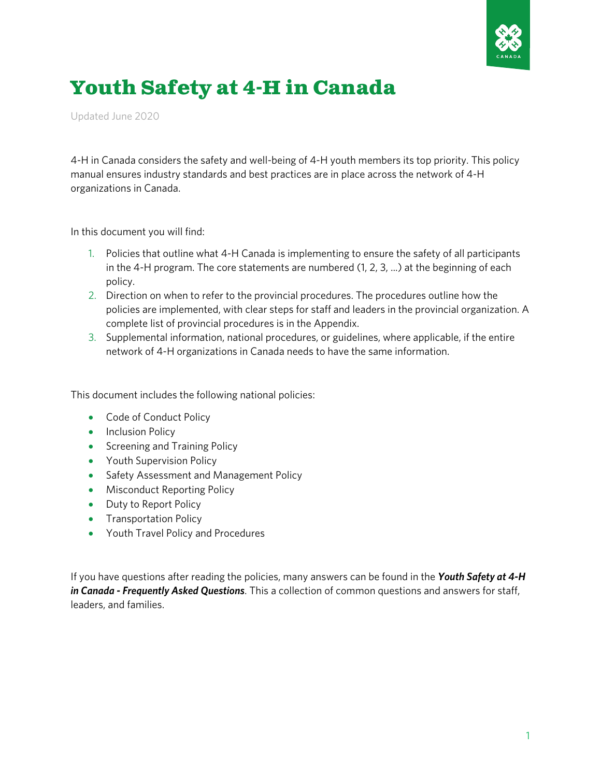

Updated June 2020

4-H in Canada considers the safety and well-being of 4-H youth members its top priority. This policy manual ensures industry standards and best practices are in place across the network of 4-H organizations in Canada.

In this document you will find:

- 1. Policies that outline what 4-H Canada is implementing to ensure the safety of all participants in the 4-H program. The core statements are numbered (1, 2, 3, ...) at the beginning of each policy.
- 2. Direction on when to refer to the provincial procedures. The procedures outline how the policies are implemented, with clear steps for staff and leaders in the provincial organization. A complete list of provincial procedures is in the Appendix.
- 3. Supplemental information, national procedures, or guidelines, where applicable, if the entire network of 4-H organizations in Canada needs to have the same information.

This document includes the following national policies:

- Code of Conduct Policy
- Inclusion Policy
- Screening and Training Policy
- Youth Supervision Policy
- Safety Assessment and Management Policy
- Misconduct Reporting Policy
- Duty to Report Policy
- Transportation Policy
- Youth Travel Policy and Procedures

If you have questions after reading the policies, many answers can be found in the *Youth Safety at 4-H in Canada - Frequently Asked Questions*. This a collection of common questions and answers for staff, leaders, and families.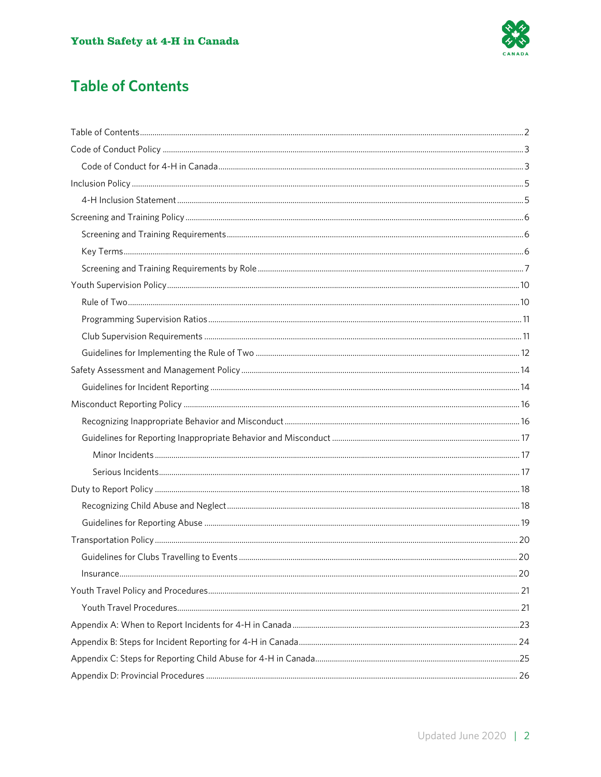

## <span id="page-1-0"></span>**Table of Contents**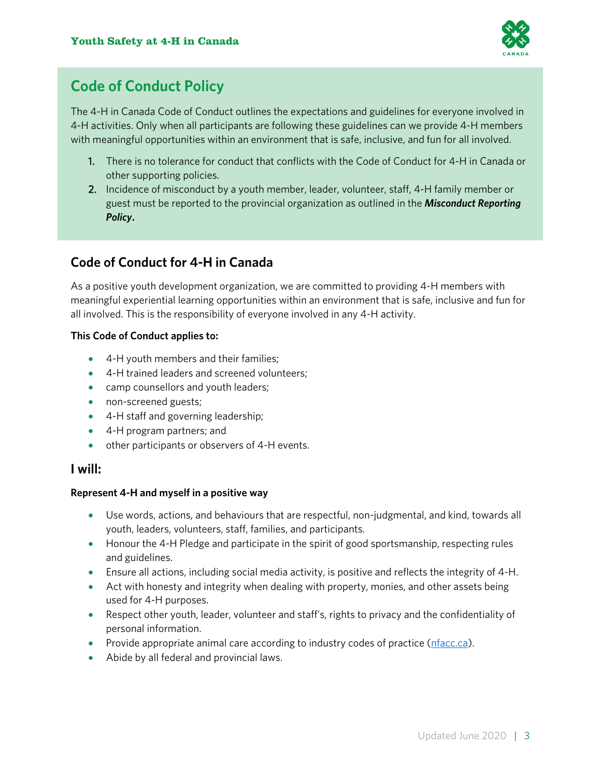

## <span id="page-2-0"></span>**Code of Conduct Policy**

The 4-H in Canada Code of Conduct outlines the expectations and guidelines for everyone involved in 4-H activities. Only when all participants are following these guidelines can we provide 4-H members with meaningful opportunities within an environment that is safe, inclusive, and fun for all involved.

- 1. There is no tolerance for conduct that conflicts with the Code of Conduct for 4-H in Canada or other supporting policies.
- 2. Incidence of misconduct by a youth member, leader, volunteer, staff, 4-H family member or guest must be reported to the provincial organization as outlined in the *[Misconduct](#page-15-0) Reporting [Policy](#page-15-0)***.**

### <span id="page-2-1"></span>**Code of Conduct for 4-H in Canada**

As a positive youth development organization, we are committed to providing 4-H members with meaningful experiential learning opportunities within an environment that is safe, inclusive and fun for all involved. This is the responsibility of everyone involved in any 4-H activity.

### **This Code of Conduct applies to:**

- 4-H youth members and their families;
- 4-H trained leaders and screened volunteers;
- camp counsellors and youth leaders;
- non-screened guests;
- 4-H staff and governing leadership;
- 4-H program partners; and
- other participants or observers of 4-H events.

### **I will:**

#### **Represent 4-H and myself in a positive way**

- Use words, actions, and behaviours that are respectful, non-judgmental, and kind, towards all youth, leaders, volunteers, staff, families, and participants.
- Honour the 4-H Pledge and participate in the spirit of good sportsmanship, respecting rules and guidelines.
- Ensure all actions, including social media activity, is positive and reflects the integrity of 4-H.
- Act with honesty and integrity when dealing with property, monies, and other assets being used for 4-H purposes.
- Respect other youth, leader, volunteer and staff's, rights to privacy and the confidentiality of personal information.
- Provide appropriate animal care according to industry codes of practice [\(nfacc.ca\)](http://www.nfacc.ca/).
- Abide by all federal and provincial laws.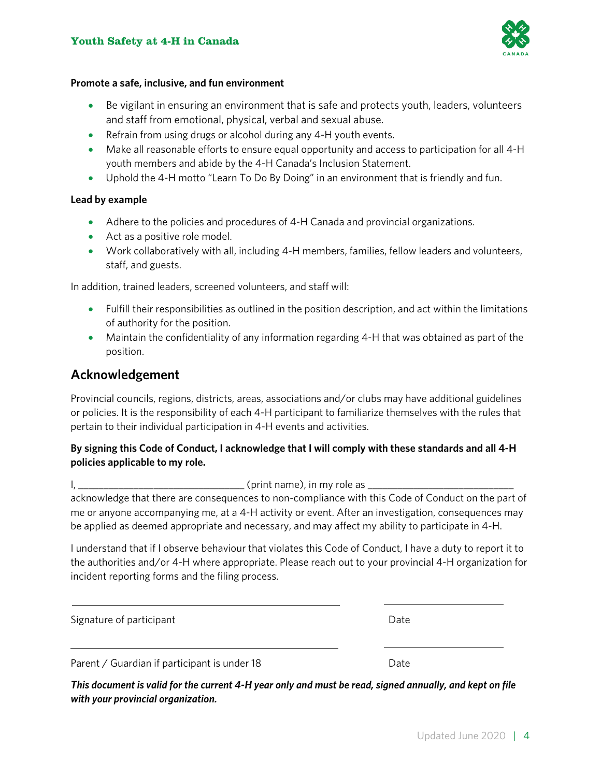

#### **Promote a safe, inclusive, and fun environment**

- Be vigilant in ensuring an environment that is safe and protects youth, leaders, volunteers and staff from emotional, physical, verbal and sexual abuse.
- Refrain from using drugs or alcohol during any 4-H youth events.
- Make all reasonable efforts to ensure equal opportunity and access to participation for all 4-H youth members and abide by the 4-H Canada's Inclusion Statement.
- Uphold the 4-H motto "Learn To Do By Doing" in an environment that is friendly and fun.

#### **Lead by example**

- Adhere to the policies and procedures of 4-H Canada and provincial organizations.
- Act as a positive role model.
- Work collaboratively with all, including 4-H members, families, fellow leaders and volunteers, staff, and guests.

In addition, trained leaders, screened volunteers, and staff will:

- Fulfill their responsibilities as outlined in the position description, and act within the limitations of authority for the position.
- Maintain the confidentiality of any information regarding 4-H that was obtained as part of the position.

### **Acknowledgement**

Provincial councils, regions, districts, areas, associations and/or clubs may have additional guidelines or policies. It is the responsibility of each 4-H participant to familiarize themselves with the rules that pertain to their individual participation in 4-H events and activities.

### **By signing this Code of Conduct, I acknowledge that I will comply with these standards and all 4-H policies applicable to my role.**

I, \_\_\_\_\_\_\_\_\_\_\_\_\_\_\_\_\_\_\_\_\_\_\_\_\_\_\_\_\_\_\_\_\_ (print name), in my role as \_\_\_\_\_\_\_\_\_\_\_\_\_\_\_\_\_\_\_\_\_\_\_\_\_\_\_\_\_

acknowledge that there are consequences to non-compliance with this Code of Conduct on the part of me or anyone accompanying me, at a 4-H activity or event. After an investigation, consequences may be applied as deemed appropriate and necessary, and may affect my ability to participate in 4-H.

I understand that if I observe behaviour that violates this Code of Conduct, I have a duty to report it to the authorities and/or 4-H where appropriate. Please reach out to your provincial 4-H organization for incident reporting forms and the filing process.

| Signature of participant | Date |
|--------------------------|------|
|--------------------------|------|

Parent / Guardian if participant is under 18 Date

*This document is valid for the current 4-H year only and must be read, signed annually, and kept on file with your provincial organization.*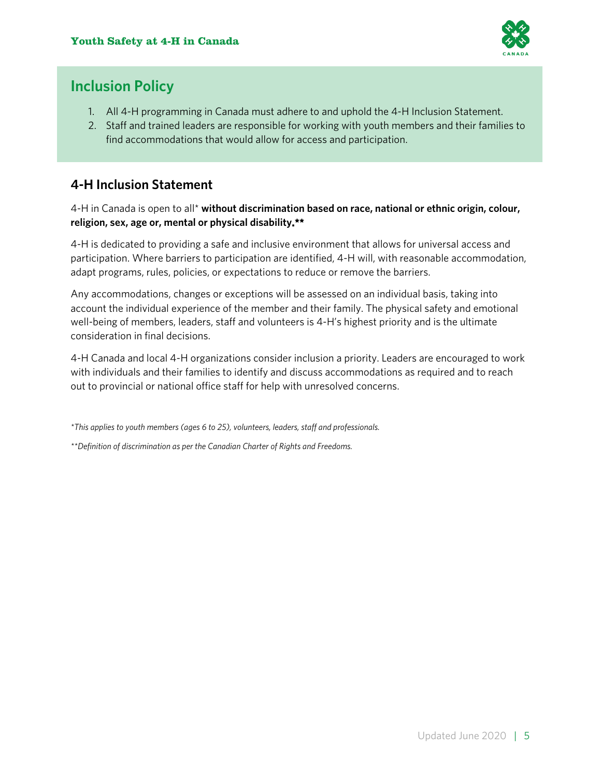

## <span id="page-4-0"></span>**Inclusion Policy**

- 1. All 4-H programming in Canada must adhere to and uphold the 4-H Inclusion Statement.
- 2. Staff and trained leaders are responsible for working with youth members and their families to find accommodations that would allow for access and participation.

## <span id="page-4-1"></span>**4-H Inclusion Statement**

4-H in Canada is open to all\* **without discrimination based on race, national or ethnic origin, colour, religion, sex, age or, mental or physical disability.\*\***

4-H is dedicated to providing a safe and inclusive environment that allows for universal access and participation. Where barriers to participation are identified, 4-H will, with reasonable accommodation, adapt programs, rules, policies, or expectations to reduce or remove the barriers.

Any accommodations, changes or exceptions will be assessed on an individual basis, taking into account the individual experience of the member and their family. The physical safety and emotional well-being of members, leaders, staff and volunteers is 4-H's highest priority and is the ultimate consideration in final decisions.

4-H Canada and local 4-H organizations consider inclusion a priority. Leaders are encouraged to work with individuals and their families to identify and discuss accommodations as required and to reach out to provincial or national office staff for help with unresolved concerns.

*\*This applies to youth members (ages 6 to 25), volunteers, leaders, staff and professionals.*

*\*\*Definition of discrimination as per the Canadian Charter of Rights and Freedoms.*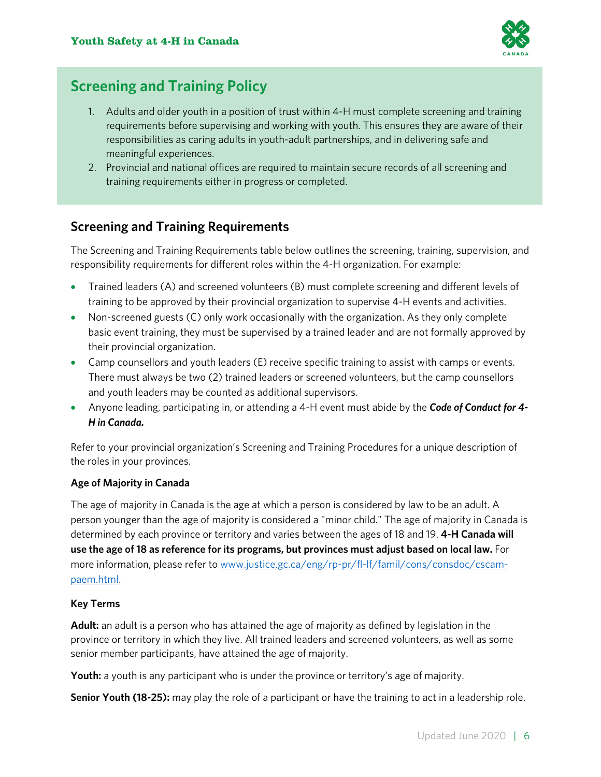

## <span id="page-5-0"></span>**Screening and Training Policy**

- 1. Adults and older youth in a position of trust within 4-H must complete screening and training requirements before supervising and working with youth. This ensures they are aware of their responsibilities as caring adults in youth-adult partnerships, and in delivering safe and meaningful experiences.
- 2. Provincial and national offices are required to maintain secure records of all screening and training requirements either in progress or completed.

### <span id="page-5-1"></span>**Screening and Training Requirements**

The Screening and Training Requirements table below outlines the screening, training, supervision, and responsibility requirements for different roles within the 4-H organization. For example:

- Trained leaders (A) and screened volunteers (B) must complete screening and different levels of training to be approved by their provincial organization to supervise 4-H events and activities.
- Non-screened guests (C) only work occasionally with the organization. As they only complete basic event training, they must be supervised by a trained leader and are not formally approved by their provincial organization.
- Camp counsellors and youth leaders (E) receive specific training to assist with camps or events. There must always be two (2) trained leaders or screened volunteers, but the camp counsellors and youth leaders may be counted as additional supervisors.
- Anyone leading, participating in, or attending a 4-H event must abide by the *[Code of Conduct](#page-2-1) for 4- [H in Canada.](#page-2-1)*

Refer to your provincial organization's Screening and [Training Procedures](#page-25-0) for a unique description of the roles in your provinces.

### **Age of Majority in Canada**

The age of majority in Canada is the age at which a person is considered by law to be an adult. A person younger than the age of majority is considered a "minor child." The age of majority in Canada is determined by each province or territory and varies between the ages of 18 and 19. **4-H Canada will use the age of 18 as reference for its programs, but provinces must adjust based on local law.** For more information, please refer to [www.justice.gc.ca/eng/rp-pr/fl-lf/famil/cons/consdoc/cscam](https://www.justice.gc.ca/eng/rp-pr/fl-lf/famil/cons/consdoc/cscam-paem.html)[paem.html.](https://www.justice.gc.ca/eng/rp-pr/fl-lf/famil/cons/consdoc/cscam-paem.html)

### <span id="page-5-2"></span>**Key Terms**

**Adult:** an adult is a person who has attained the age of majority as defined by legislation in the province or territory in which they live. All trained leaders and screened volunteers, as well as some senior member participants, have attained the age of majority.

**Youth:** a youth is any participant who is under the province or territory's age of majority.

**Senior Youth (18-25):** may play the role of a participant or have the training to act in a leadership role.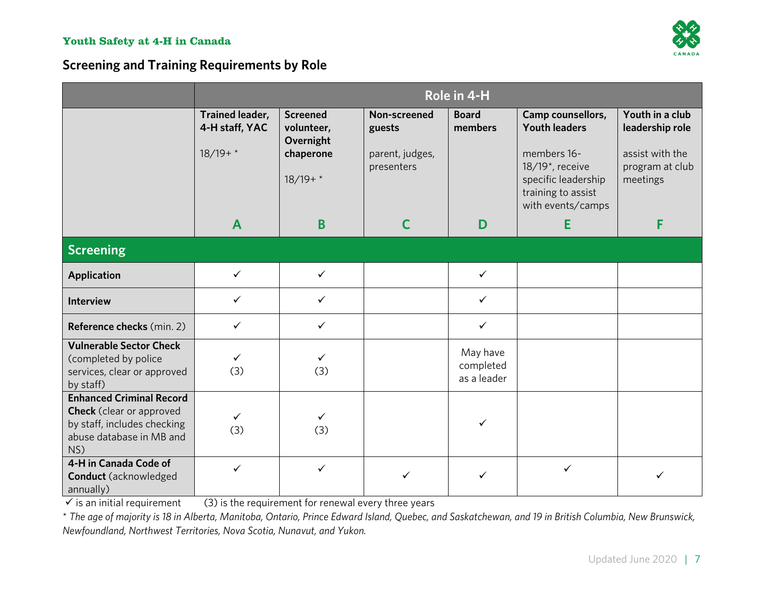

### **Screening and Training Requirements by Role**

<span id="page-6-0"></span>

|                                                                                                                                      | Role in 4-H                                     |                                                                       |                                                         |                                      |                                                                                                                                                  |                                                                                      |
|--------------------------------------------------------------------------------------------------------------------------------------|-------------------------------------------------|-----------------------------------------------------------------------|---------------------------------------------------------|--------------------------------------|--------------------------------------------------------------------------------------------------------------------------------------------------|--------------------------------------------------------------------------------------|
|                                                                                                                                      | Trained leader,<br>4-H staff, YAC<br>$18/19+$ * | <b>Screened</b><br>volunteer,<br>Overnight<br>chaperone<br>$18/19+$ * | Non-screened<br>guests<br>parent, judges,<br>presenters | <b>Board</b><br>members              | Camp counsellors,<br><b>Youth leaders</b><br>members 16-<br>$18/19*$ , receive<br>specific leadership<br>training to assist<br>with events/camps | Youth in a club<br>leadership role<br>assist with the<br>program at club<br>meetings |
|                                                                                                                                      | $\overline{A}$                                  | B                                                                     | C                                                       | D                                    | Е                                                                                                                                                | F                                                                                    |
| <b>Screening</b>                                                                                                                     |                                                 |                                                                       |                                                         |                                      |                                                                                                                                                  |                                                                                      |
| Application                                                                                                                          | $\checkmark$                                    | $\checkmark$                                                          |                                                         | $\checkmark$                         |                                                                                                                                                  |                                                                                      |
| <b>Interview</b>                                                                                                                     | $\checkmark$                                    | $\checkmark$                                                          |                                                         | $\checkmark$                         |                                                                                                                                                  |                                                                                      |
| Reference checks (min. 2)                                                                                                            | $\checkmark$                                    | $\checkmark$                                                          |                                                         | $\checkmark$                         |                                                                                                                                                  |                                                                                      |
| <b>Vulnerable Sector Check</b><br>(completed by police<br>services, clear or approved<br>by staff)                                   | $\checkmark$<br>(3)                             | $\checkmark$<br>(3)                                                   |                                                         | May have<br>completed<br>as a leader |                                                                                                                                                  |                                                                                      |
| <b>Enhanced Criminal Record</b><br><b>Check</b> (clear or approved<br>by staff, includes checking<br>abuse database in MB and<br>NS) | ✓<br>(3)                                        | $\checkmark$<br>(3)                                                   |                                                         | ✓                                    |                                                                                                                                                  |                                                                                      |
| 4-H in Canada Code of<br><b>Conduct</b> (acknowledged<br>annually)                                                                   | $\checkmark$                                    | $\checkmark$                                                          | ✓                                                       | ✓                                    | ✓                                                                                                                                                |                                                                                      |

 $\checkmark$  is an initial requirement (3) is the requirement for renewal every three years

\* *The age of majority is 18 in Alberta, Manitoba, Ontario, Prince Edward Island, Quebec, and Saskatchewan, and 19 in British Columbia, New Brunswick, Newfoundland, Northwest Territories, Nova Scotia, Nunavut, and Yukon.*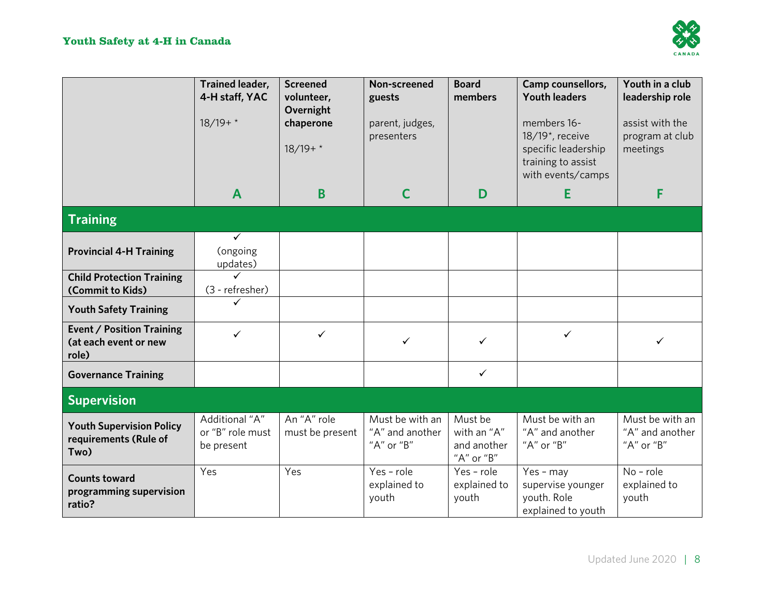

|                                                                    | <b>Trained leader,</b><br>4-H staff, YAC<br>$18/19+$ * | <b>Screened</b><br>volunteer,<br>Overnight<br>chaperone<br>$18/19+$ * | Non-screened<br>guests<br>parent, judges,<br>presenters | <b>Board</b><br>members                             | Camp counsellors,<br><b>Youth leaders</b><br>members 16-<br>18/19*, receive<br>specific leadership<br>training to assist<br>with events/camps | Youth in a club<br>leadership role<br>assist with the<br>program at club<br>meetings |
|--------------------------------------------------------------------|--------------------------------------------------------|-----------------------------------------------------------------------|---------------------------------------------------------|-----------------------------------------------------|-----------------------------------------------------------------------------------------------------------------------------------------------|--------------------------------------------------------------------------------------|
|                                                                    | $\overline{A}$                                         | B                                                                     | C                                                       | D                                                   | Е                                                                                                                                             | F                                                                                    |
| <b>Training</b>                                                    |                                                        |                                                                       |                                                         |                                                     |                                                                                                                                               |                                                                                      |
| <b>Provincial 4-H Training</b>                                     | $\checkmark$<br>(ongoing<br>updates)                   |                                                                       |                                                         |                                                     |                                                                                                                                               |                                                                                      |
| <b>Child Protection Training</b><br>(Commit to Kids)               | (3 - refresher)                                        |                                                                       |                                                         |                                                     |                                                                                                                                               |                                                                                      |
| <b>Youth Safety Training</b>                                       |                                                        |                                                                       |                                                         |                                                     |                                                                                                                                               |                                                                                      |
| <b>Event / Position Training</b><br>(at each event or new<br>role) | $\checkmark$                                           | ✓                                                                     | ✓                                                       | ✓                                                   | ✓                                                                                                                                             | ✓                                                                                    |
| <b>Governance Training</b>                                         |                                                        |                                                                       |                                                         | $\checkmark$                                        |                                                                                                                                               |                                                                                      |
| <b>Supervision</b>                                                 |                                                        |                                                                       |                                                         |                                                     |                                                                                                                                               |                                                                                      |
| <b>Youth Supervision Policy</b><br>requirements (Rule of<br>Two)   | Additional "A"<br>or "B" role must<br>be present       | An "A" role<br>must be present                                        | Must be with an<br>"A" and another<br>"A" or "B"        | Must be<br>with an "A"<br>and another<br>"A" or "B" | Must be with an<br>"A" and another<br>"A" or "B"                                                                                              | Must be with an<br>"A" and another<br>"A" or "B"                                     |
| <b>Counts toward</b><br>programming supervision<br>ratio?          | Yes                                                    | Yes                                                                   | Yes - role<br>explained to<br>youth                     | Yes - role<br>explained to<br>youth                 | Yes - may<br>supervise younger<br>youth. Role<br>explained to youth                                                                           | No-role<br>explained to<br>youth                                                     |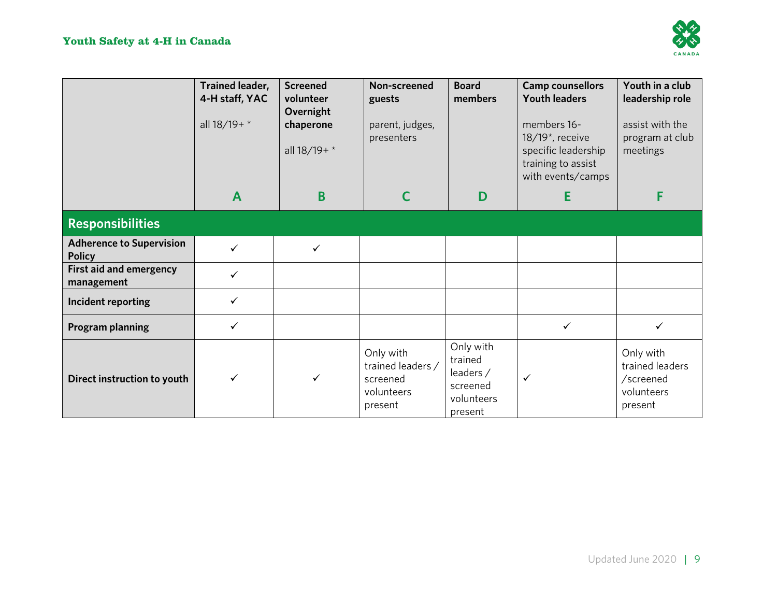

|                                                  | Trained leader,<br>4-H staff, YAC<br>all 18/19+ * | <b>Screened</b><br>volunteer<br>Overnight<br>chaperone<br>all 18/19+ * | Non-screened<br>guests<br>parent, judges,<br>presenters             | <b>Board</b><br>members                                                | <b>Camp counsellors</b><br><b>Youth leaders</b><br>members 16-<br>$18/19*$ , receive<br>specific leadership<br>training to assist<br>with events/camps | Youth in a club<br>leadership role<br>assist with the<br>program at club<br>meetings |
|--------------------------------------------------|---------------------------------------------------|------------------------------------------------------------------------|---------------------------------------------------------------------|------------------------------------------------------------------------|--------------------------------------------------------------------------------------------------------------------------------------------------------|--------------------------------------------------------------------------------------|
|                                                  | $\overline{A}$                                    | B                                                                      |                                                                     | D                                                                      | Е                                                                                                                                                      | F                                                                                    |
| <b>Responsibilities</b>                          |                                                   |                                                                        |                                                                     |                                                                        |                                                                                                                                                        |                                                                                      |
| <b>Adherence to Supervision</b><br><b>Policy</b> | $\checkmark$                                      | ✓                                                                      |                                                                     |                                                                        |                                                                                                                                                        |                                                                                      |
| <b>First aid and emergency</b><br>management     | ✓                                                 |                                                                        |                                                                     |                                                                        |                                                                                                                                                        |                                                                                      |
| Incident reporting                               | ✓                                                 |                                                                        |                                                                     |                                                                        |                                                                                                                                                        |                                                                                      |
| Program planning                                 | $\checkmark$                                      |                                                                        |                                                                     |                                                                        | $\checkmark$                                                                                                                                           | ✓                                                                                    |
| Direct instruction to youth                      | ✓                                                 | $\checkmark$                                                           | Only with<br>trained leaders /<br>screened<br>volunteers<br>present | Only with<br>trained<br>leaders /<br>screened<br>volunteers<br>present | $\checkmark$                                                                                                                                           | Only with<br>trained leaders<br>/screened<br>volunteers<br>present                   |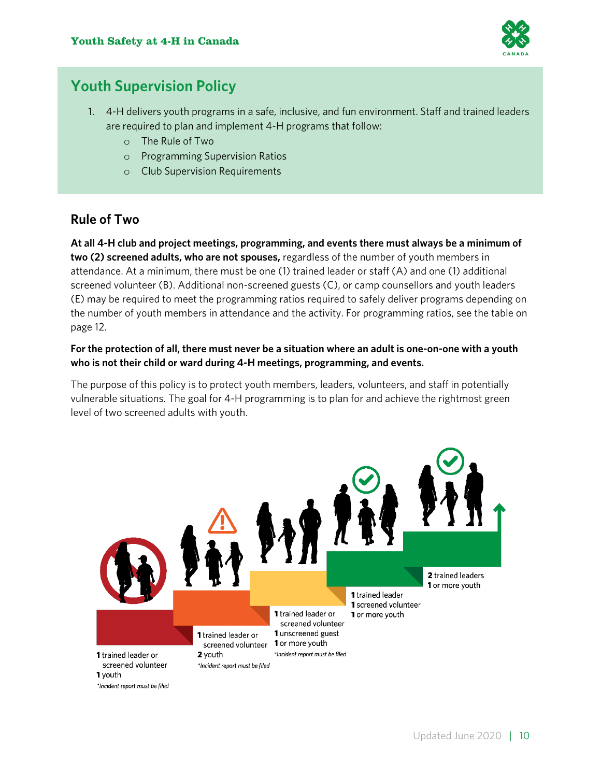

## <span id="page-9-0"></span>**Youth Supervision Policy**

- 1. 4-H delivers youth programs in a safe, inclusive, and fun environment. Staff and trained leaders are required to plan and implement 4-H programs that follow:
	- o The Rule of Two
	- o Programming Supervision Ratios
	- o Club Supervision Requirements

### <span id="page-9-1"></span>**Rule of Two**

**At all 4-H club and project meetings, programming, and events there must always be a minimum of two (2) screened adults, who are not spouses,** regardless of the number of youth members in attendance. At a minimum, there must be one (1) trained leader or staff (A) and one (1) additional screened volunteer (B). Additional non-screened guests (C), or camp counsellors and youth leaders (E) may be required to meet the programming ratios required to safely deliver programs depending on the number of youth members in attendance and the activity. For programming ratios, see the table on page 12.

### **For the protection of all, there must never be a situation where an adult is one-on-one with a youth who is not their child or ward during 4-H meetings, programming, and events.**

The purpose of this policy is to protect youth members, leaders, volunteers, and staff in potentially vulnerable situations. The goal for 4-H programming is to plan for and achieve the rightmost green level of two screened adults with youth.

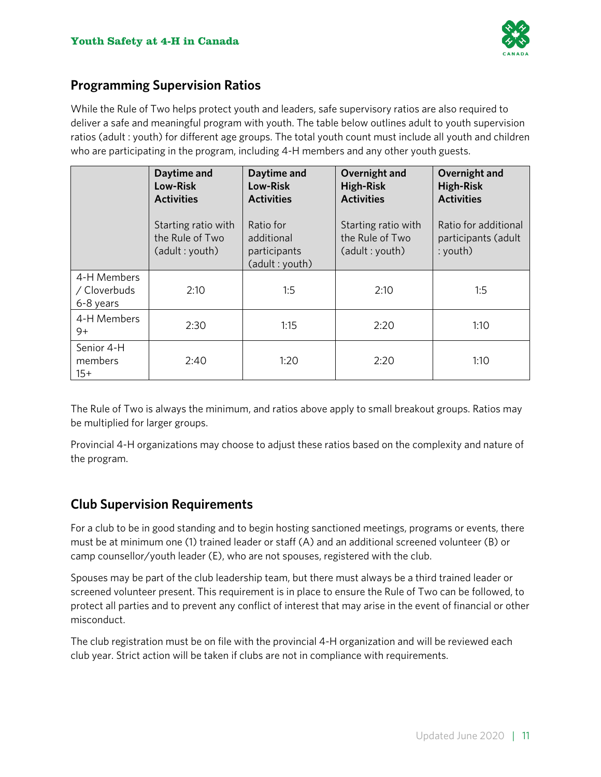

### <span id="page-10-0"></span>**Programming Supervision Ratios**

While the Rule of Two helps protect youth and leaders, safe supervisory ratios are also required to deliver a safe and meaningful program with youth. The table below outlines adult to youth supervision ratios (adult : youth) for different age groups. The total youth count must include all youth and children who are participating in the program, including 4-H members and any other youth guests.

|                                          | Daytime and<br>Low-Risk<br><b>Activities</b>             | Daytime and<br>Low-Risk<br><b>Activities</b>              | Overnight and<br><b>High-Risk</b><br><b>Activities</b>   | Overnight and<br><b>High-Risk</b><br><b>Activities</b>  |
|------------------------------------------|----------------------------------------------------------|-----------------------------------------------------------|----------------------------------------------------------|---------------------------------------------------------|
|                                          | Starting ratio with<br>the Rule of Two<br>(adult: youth) | Ratio for<br>additional<br>participants<br>(adult: youth) | Starting ratio with<br>the Rule of Two<br>(adult: youth) | Ratio for additional<br>participants (adult<br>: youth) |
| 4-H Members<br>/ Cloverbuds<br>6-8 years | 2:10                                                     | 1:5                                                       | 2:10                                                     | 1:5                                                     |
| 4-H Members<br>$9+$                      | 2:30                                                     | 1:15                                                      | 2:20                                                     | 1:10                                                    |
| Senior 4-H<br>members<br>$15+$           | 2:40                                                     | 1:20                                                      | 2:20                                                     | 1:10                                                    |

The Rule of Two is always the minimum, and ratios above apply to small breakout groups. Ratios may be multiplied for larger groups.

Provincial 4-H organizations may choose to adjust these ratios based on the complexity and nature of the program.

### <span id="page-10-1"></span>**Club Supervision Requirements**

For a club to be in good standing and to begin hosting sanctioned meetings, programs or events, there must be at minimum one (1) trained leader or staff (A) and an additional screened volunteer (B) or camp counsellor/youth leader (E), who are not spouses, registered with the club.

Spouses may be part of the club leadership team, but there must always be a third trained leader or screened volunteer present. This requirement is in place to ensure the Rule of Two can be followed, to protect all parties and to prevent any conflict of interest that may arise in the event of financial or other misconduct.

The club registration must be on file with the provincial 4-H organization and will be reviewed each club year. Strict action will be taken if clubs are not in compliance with requirements.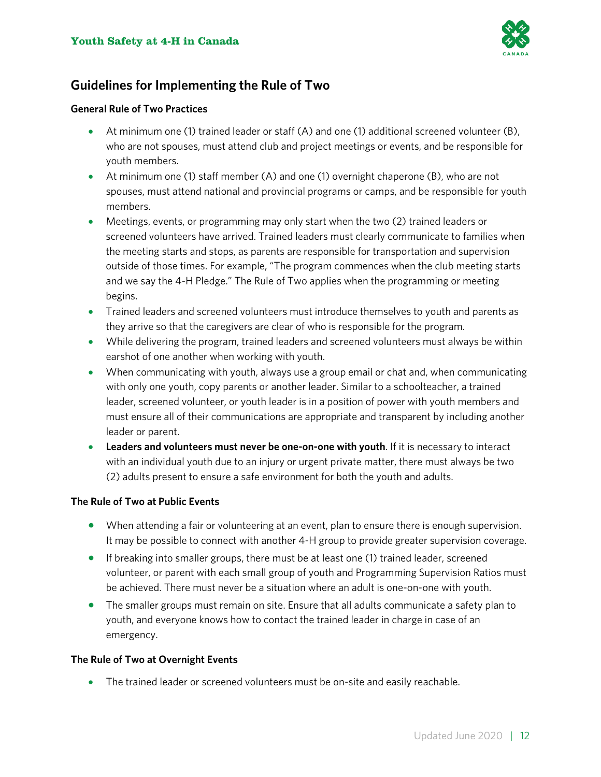

### <span id="page-11-0"></span>**Guidelines for Implementing the Rule of Two**

#### **General Rule of Two Practices**

- At minimum one (1) trained leader or staff (A) and one (1) additional screened volunteer (B), who are not spouses, must attend club and project meetings or events, and be responsible for youth members.
- At minimum one (1) staff member (A) and one (1) overnight chaperone (B), who are not spouses, must attend national and provincial programs or camps, and be responsible for youth members.
- Meetings, events, or programming may only start when the two (2) trained leaders or screened volunteers have arrived. Trained leaders must clearly communicate to families when the meeting starts and stops, as parents are responsible for transportation and supervision outside of those times. For example, "The program commences when the club meeting starts and we say the 4-H Pledge." The Rule of Two applies when the programming or meeting begins.
- Trained leaders and screened volunteers must introduce themselves to youth and parents as they arrive so that the caregivers are clear of who is responsible for the program.
- While delivering the program, trained leaders and screened volunteers must always be within earshot of one another when working with youth.
- When communicating with youth, always use a group email or chat and, when communicating with only one youth, copy parents or another leader. Similar to a schoolteacher, a trained leader, screened volunteer, or youth leader is in a position of power with youth members and must ensure all of their communications are appropriate and transparent by including another leader or parent.
- **Leaders and volunteers must never be one-on-one with youth**. If it is necessary to interact with an individual youth due to an injury or urgent private matter, there must always be two (2) adults present to ensure a safe environment for both the youth and adults.

#### **The Rule of Two at Public Events**

- When attending a fair or volunteering at an event, plan to ensure there is enough supervision. It may be possible to connect with another 4-H group to provide greater supervision coverage.
- If breaking into smaller groups, there must be at least one (1) trained leader, screened volunteer, or parent with each small group of youth and Programming Supervision Ratios must be achieved. There must never be a situation where an adult is one-on-one with youth.
- The smaller groups must remain on site. Ensure that all adults communicate a safety plan to youth, and everyone knows how to contact the trained leader in charge in case of an emergency.

#### **The Rule of Two at Overnight Events**

• The trained leader or screened volunteers must be on-site and easily reachable.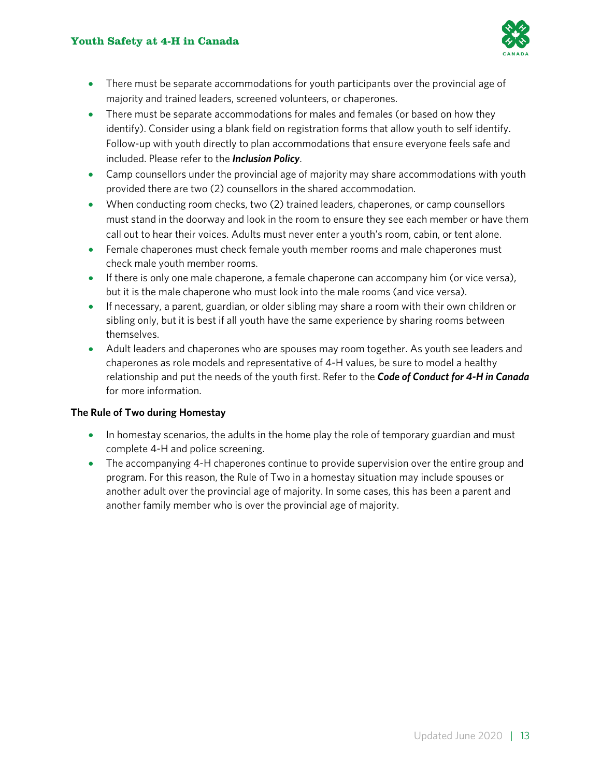

- There must be separate accommodations for youth participants over the provincial age of majority and trained leaders, screened volunteers, or chaperones.
- There must be separate accommodations for males and females (or based on how they identify). Consider using a blank field on registration forms that allow youth to self identify. Follow-up with youth directly to plan accommodations that ensure everyone feels safe and included. Please refer to the *Inclusion Policy*.
- Camp counsellors under the provincial age of majority may share accommodations with youth provided there are two (2) counsellors in the shared accommodation.
- When conducting room checks, two (2) trained leaders, chaperones, or camp counsellors must stand in the doorway and look in the room to ensure they see each member or have them call out to hear their voices. Adults must never enter a youth's room, cabin, or tent alone.
- Female chaperones must check female youth member rooms and male chaperones must check male youth member rooms.
- If there is only one male chaperone, a female chaperone can accompany him (or vice versa), but it is the male chaperone who must look into the male rooms (and vice versa).
- If necessary, a parent, guardian, or older sibling may share a room with their own children or sibling only, but it is best if all youth have the same experience by sharing rooms between themselves.
- Adult leaders and chaperones who are spouses may room together. As youth see leaders and chaperones as role models and representative of 4-H values, be sure to model a healthy relationship and put the needs of the youth first. Refer to the *[Code of Conduct for 4-H in Canada](#page-2-1)* for more information.

### **The Rule of Two during Homestay**

- In homestay scenarios, the adults in the home play the role of temporary guardian and must complete 4-H and police screening.
- The accompanying 4-H chaperones continue to provide supervision over the entire group and program. For this reason, the Rule of Two in a homestay situation may include spouses or another adult over the provincial age of majority. In some cases, this has been a parent and another family member who is over the provincial age of majority.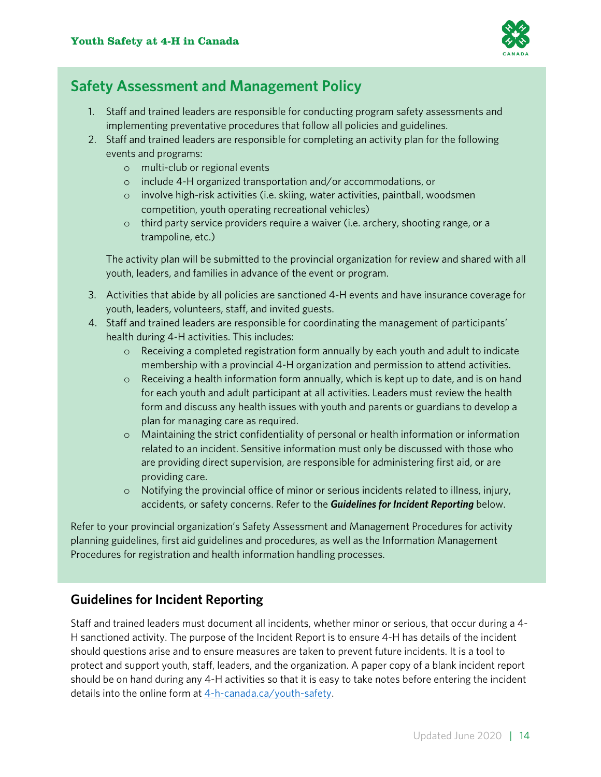

## <span id="page-13-0"></span>**Safety Assessment and Management Policy**

- 1. Staff and trained leaders are responsible for conducting program safety assessments and implementing preventative procedures that follow all policies and guidelines.
- 2. Staff and trained leaders are responsible for completing an activity plan for the following events and programs:
	- o multi-club or regional events
	- o include 4-H organized transportation and/or accommodations, or
	- $\circ$  involve high-risk activities (i.e. skiing, water activities, paintball, woodsmen competition, youth operating recreational vehicles)
	- o third party service providers require a waiver (i.e. archery, shooting range, or a trampoline, etc.)

The activity plan will be submitted to the provincial organization for review and shared with all youth, leaders, and families in advance of the event or program.

- 3. Activities that abide by all policies are sanctioned 4-H events and have insurance coverage for youth, leaders, volunteers, staff, and invited guests.
- 4. Staff and trained leaders are responsible for coordinating the management of participants' health during 4-H activities. This includes:
	- $\circ$  Receiving a completed registration form annually by each youth and adult to indicate membership with a provincial 4-H organization and permission to attend activities.
	- $\circ$  Receiving a health information form annually, which is kept up to date, and is on hand for each youth and adult participant at all activities. Leaders must review the health form and discuss any health issues with youth and parents or guardians to develop a plan for managing care as required.
	- o Maintaining the strict confidentiality of personal or health information or information related to an incident. Sensitive information must only be discussed with those who are providing direct supervision, are responsible for administering first aid, or are providing care.
	- o Notifying the provincial office of minor or serious incidents related to illness, injury, accidents, or safety concerns. Refer to the *[Guidelines for Incident Reporting](#page-13-1)* below.

Refer to your provincial organization's Safety Assessment and Management Procedures for activity planning guidelines, first aid guidelines and procedures, as well as the Information Management Procedures for registration and health information handling processes.

### <span id="page-13-1"></span>**Guidelines for Incident Reporting**

Staff and trained leaders must document all incidents, whether minor or serious, that occur during a 4- H sanctioned activity. The purpose of the Incident Report is to ensure 4-H has details of the incident should questions arise and to ensure measures are taken to prevent future incidents. It is a tool to protect and support youth, staff, leaders, and the organization. A paper copy of a blank incident report should be on hand during any 4-H activities so that it is easy to take notes before entering the incident details into the online form at [4-h-canada.ca/youth-safety.](https://4-h-canada.ca/youth-safety)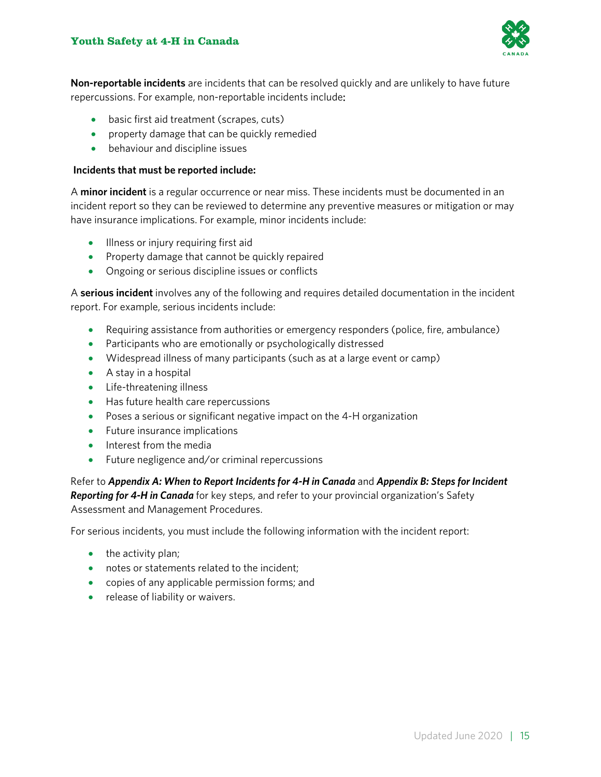

**Non-reportable incidents** are incidents that can be resolved quickly and are unlikely to have future repercussions. For example, non-reportable incidents include:

- basic first aid treatment (scrapes, cuts)
- property damage that can be quickly remedied
- behaviour and discipline issues

#### **Incidents that must be reported include:**

A **minor incident** is a regular occurrence or near miss. These incidents must be documented in an incident report so they can be reviewed to determine any preventive measures or mitigation or may have insurance implications. For example, minor incidents include:

- Illness or injury requiring first aid
- Property damage that cannot be quickly repaired
- Ongoing or serious discipline issues or conflicts

A **serious incident** involves any of the following and requires detailed documentation in the incident report. For example, serious incidents include:

- Requiring assistance from authorities or emergency responders (police, fire, ambulance)
- Participants who are emotionally or psychologically distressed
- Widespread illness of many participants (such as at a large event or camp)
- A stay in a hospital
- Life-threatening illness
- Has future health care repercussions
- Poses a serious or significant negative impact on the 4-H organization
- Future insurance implications
- Interest from the media
- Future negligence and/or criminal repercussions

Refer to *[Appendix A: When to Report Incidents for 4-H in Canada](#page-22-0)* and *[Appendix B: Steps for Incident](#page-23-0)  [Reporting for 4-H in Canada](#page-23-0)* for key steps, and refer to your provincial organization's [Safety](#page-25-0)  [Assessment and Management Procedures.](#page-25-0)

For serious incidents, you must include the following information with the incident report:

- the activity plan;
- notes or statements related to the incident;
- copies of any applicable permission forms; and
- release of liability or waivers.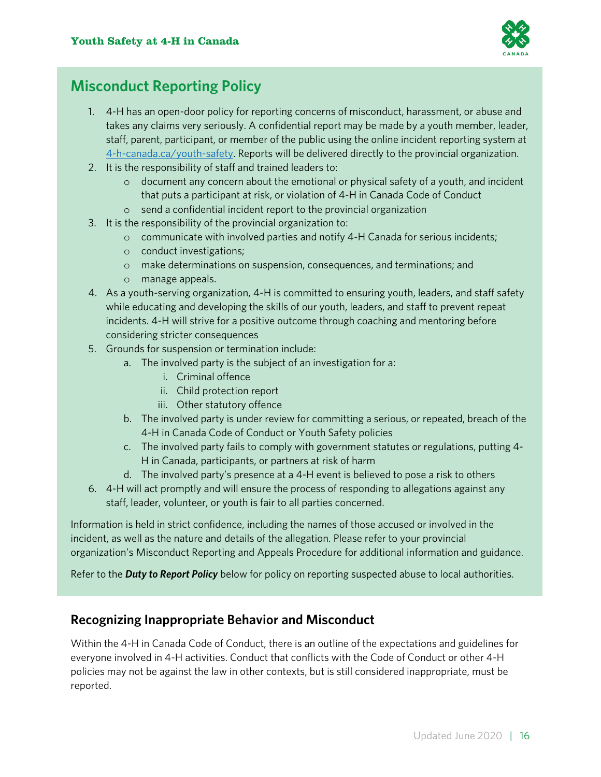

## **Misconduct Reporting Policy**

- <span id="page-15-0"></span>1. 4-H has an open-door policy for reporting concerns of misconduct, harassment, or abuse and takes any claims very seriously. A confidential report may be made by a youth member, leader, staff, parent, participant, or member of the public using the online incident reporting system at [4-h-canada.ca/youth-safety.](https://4-h-canada.ca/youth-safety) Reports will be delivered directly to the provincial organization.
- 2. It is the responsibility of staff and trained leaders to:
	- $\circ$  document any concern about the emotional or physical safety of a youth, and incident that puts a participant at risk, or violation of 4-H in Canada Code of Conduct
	- o send a confidential incident report to the provincial organization
- 3. It is the responsibility of the provincial organization to:
	- o communicate with involved parties and notify 4-H Canada for serious incidents;
	- o conduct investigations;
	- o make determinations on suspension, consequences, and terminations; and
	- o manage appeals.
- 4. As a youth-serving organization, 4-H is committed to ensuring youth, leaders, and staff safety while educating and developing the skills of our youth, leaders, and staff to prevent repeat incidents. 4-H will strive for a positive outcome through coaching and mentoring before considering stricter consequences
- 5. Grounds for suspension or termination include:
	- a. The involved party is the subject of an investigation for a:
		- i. Criminal offence
		- ii. Child protection report
		- iii. Other statutory offence
	- b. The involved party is under review for committing a serious, or repeated, breach of the 4-H in Canada Code of Conduct or Youth Safety policies
	- c. The involved party fails to comply with government statutes or regulations, putting 4- H in Canada, participants, or partners at risk of harm
	- d. The involved party's presence at a 4-H event is believed to pose a risk to others
- 6. 4-H will act promptly and will ensure the process of responding to allegations against any staff, leader, volunteer, or youth is fair to all parties concerned.

Information is held in strict confidence, including the names of those accused or involved in the incident, as well as the nature and details of the allegation. Please refer to your provincial organization's Misconduct Reporting and Appeals Procedure for additional information and guidance.

Refer to the *Duty to Report Policy* below for policy on reporting suspected abuse to local authorities.

### <span id="page-15-1"></span>**Recognizing Inappropriate Behavior and Misconduct**

Within the 4-H in Canada Code of Conduct, there is an outline of the expectations and guidelines for everyone involved in 4-H activities. Conduct that conflicts with the Code of Conduct or other 4-H policies may not be against the law in other contexts, but is still considered inappropriate, must be reported.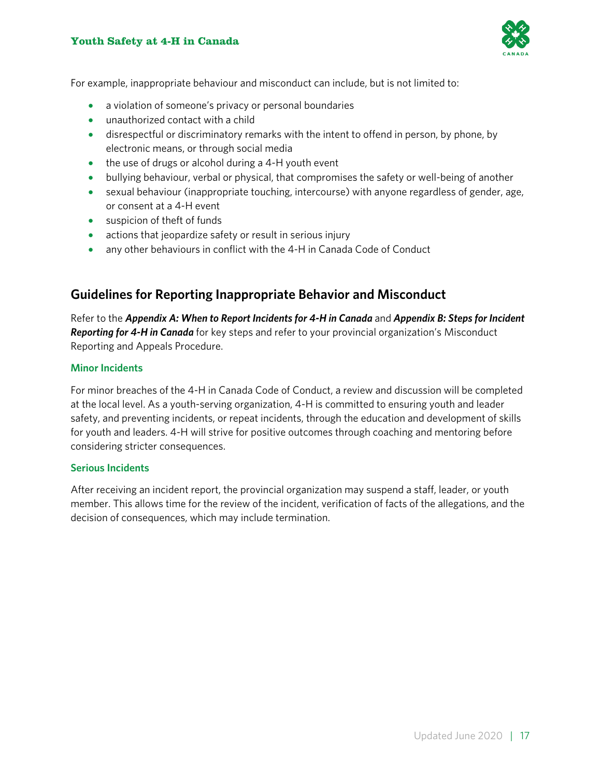

For example, inappropriate behaviour and misconduct can include, but is not limited to:

- a violation of someone's privacy or personal boundaries
- unauthorized contact with a child
- disrespectful or discriminatory remarks with the intent to offend in person, by phone, by electronic means, or through social media
- the use of drugs or alcohol during a 4-H youth event
- bullying behaviour, verbal or physical, that compromises the safety or well-being of another
- sexual behaviour (inappropriate touching, intercourse) with anyone regardless of gender, age, or consent at a 4-H event
- suspicion of theft of funds
- actions that jeopardize safety or result in serious injury
- any other behaviours in conflict with the 4-H in Canada Code of Conduct

### <span id="page-16-0"></span>**Guidelines for Reporting Inappropriate Behavior and Misconduct**

Refer to the *[Appendix A: When to Report Incidents for 4-H in Canada](#page-22-0)* and *[Appendix B: Steps for Incident](#page-23-0)  [Reporting for 4-H in Canada](#page-23-0)* for key steps and refer to your provincial organization's [Misconduct](#page-25-0)  [Reporting and Appeals Procedure.](#page-25-0)

#### <span id="page-16-1"></span>**Minor Incidents**

For minor breaches of the 4-H in Canada Code of Conduct, a review and discussion will be completed at the local level. As a youth-serving organization, 4-H is committed to ensuring youth and leader safety, and preventing incidents, or repeat incidents, through the education and development of skills for youth and leaders. 4-H will strive for positive outcomes through coaching and mentoring before considering stricter consequences.

#### <span id="page-16-2"></span>**Serious Incidents**

After receiving an incident report, the provincial organization may suspend a staff, leader, or youth member. This allows time for the review of the incident, verification of facts of the allegations, and the decision of consequences, which may include termination.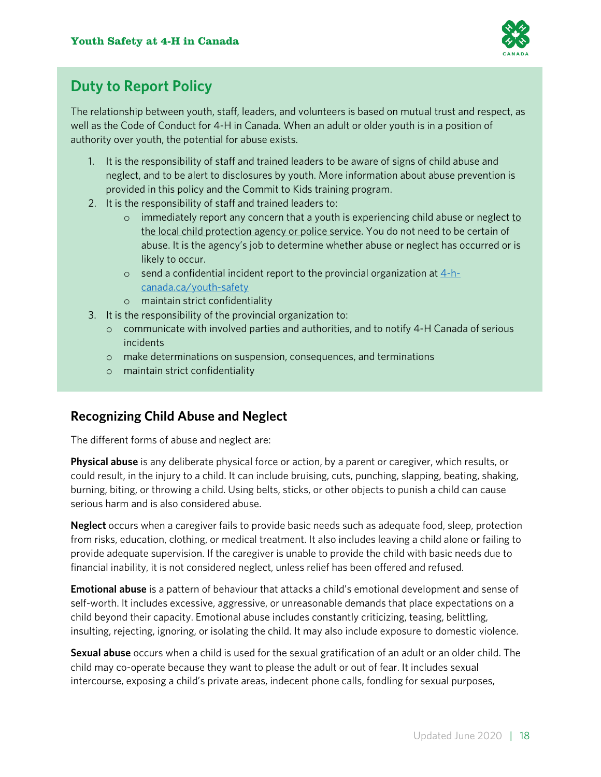

## <span id="page-17-0"></span>**Duty to Report Policy**

The relationship between youth, staff, leaders, and volunteers is based on mutual trust and respect, as well as the Code of Conduct for 4-H in Canada. When an adult or older youth is in a position of authority over youth, the potential for abuse exists.

- 1. It is the responsibility of staff and trained leaders to be aware of signs of child abuse and neglect, and to be alert to disclosures by youth. More information about abuse prevention is provided in this policy and the Commit to Kids training program.
- 2. It is the responsibility of staff and trained leaders to:
	- $\circ$  immediately report any concern that a youth is experiencing child abuse or neglect to the local child protection agency or police service. You do not need to be certain of abuse. It is the agency's job to determine whether abuse or neglect has occurred or is likely to occur.
	- $\circ$  send a confidential incident report to the provincial organization at  $4-h$ [canada.ca/youth-safety](https://4-h-canada.ca/youth-safety)
	- o maintain strict confidentiality
- 3. It is the responsibility of the provincial organization to:
	- o communicate with involved parties and authorities, and to notify 4-H Canada of serious incidents
	- o make determinations on suspension, consequences, and terminations
	- o maintain strict confidentiality

### <span id="page-17-1"></span>**Recognizing Child Abuse and Neglect**

The different forms of abuse and neglect are:

**Physical abuse** is any deliberate physical force or action, by a parent or caregiver, which results, or could result, in the injury to a child. It can include bruising, cuts, punching, slapping, beating, shaking, burning, biting, or throwing a child. Using belts, sticks, or other objects to punish a child can cause serious harm and is also considered abuse.

**Neglect** occurs when a caregiver fails to provide basic needs such as adequate food, sleep, protection from risks, education, clothing, or medical treatment. It also includes leaving a child alone or failing to provide adequate supervision. If the caregiver is unable to provide the child with basic needs due to financial inability, it is not considered neglect, unless relief has been offered and refused.

**Emotional abuse** is a pattern of behaviour that attacks a child's emotional development and sense of self-worth. It includes excessive, aggressive, or unreasonable demands that place expectations on a child beyond their capacity. Emotional abuse includes constantly criticizing, teasing, belittling, insulting, rejecting, ignoring, or isolating the child. It may also include exposure to domestic violence.

**Sexual abuse** occurs when a child is used for the sexual gratification of an adult or an older child. The child may co-operate because they want to please the adult or out of fear. It includes sexual intercourse, exposing a child's private areas, indecent phone calls, fondling for sexual purposes,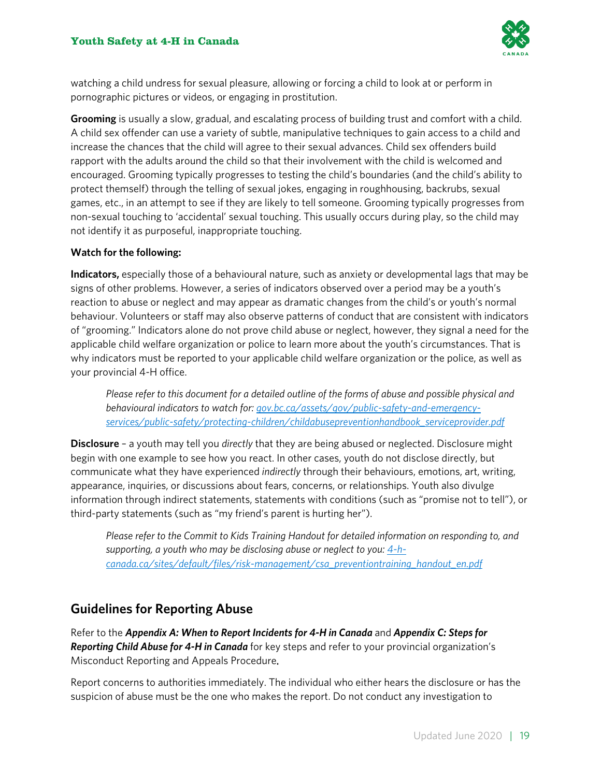

watching a child undress for sexual pleasure, allowing or forcing a child to look at or perform in pornographic pictures or videos, or engaging in prostitution.

**Grooming** is usually a slow, gradual, and escalating process of building trust and comfort with a child. A child sex offender can use a variety of subtle, manipulative techniques to gain access to a child and increase the chances that the child will agree to their sexual advances. Child sex offenders build rapport with the adults around the child so that their involvement with the child is welcomed and encouraged. Grooming typically progresses to testing the child's boundaries (and the child's ability to protect themself) through the telling of sexual jokes, engaging in roughhousing, backrubs, sexual games, etc., in an attempt to see if they are likely to tell someone. Grooming typically progresses from non-sexual touching to 'accidental' sexual touching. This usually occurs during play, so the child may not identify it as purposeful, inappropriate touching.

#### **Watch for the following:**

**Indicators,** especially those of a behavioural nature, such as anxiety or developmental lags that may be signs of other problems. However, a series of indicators observed over a period may be a youth's reaction to abuse or neglect and may appear as dramatic changes from the child's or youth's normal behaviour. Volunteers or staff may also observe patterns of conduct that are consistent with indicators of "grooming." Indicators alone do not prove child abuse or neglect, however, they signal a need for the applicable child welfare organization or police to learn more about the youth's circumstances. That is why indicators must be reported to your applicable child welfare organization or the police, as well as your provincial 4-H office.

*Please refer to this document for a detailed outline of the forms of abuse and possible physical and behavioural indicators to watch for: [gov.bc.ca/assets/gov/public-safety-and-emergency](https://www2.gov.bc.ca/assets/gov/public-safety-and-emergency-services/public-safety/protecting-children/childabusepreventionhandbook_serviceprovider.pdf)[services/public-safety/protecting-children/childabusepreventionhandbook\\_serviceprovider.pdf](https://www2.gov.bc.ca/assets/gov/public-safety-and-emergency-services/public-safety/protecting-children/childabusepreventionhandbook_serviceprovider.pdf)*

**Disclosure** – a youth may tell you *directly* that they are being abused or neglected. Disclosure might begin with one example to see how you react. In other cases, youth do not disclose directly, but communicate what they have experienced *indirectly* through their behaviours, emotions, art, writing, appearance, inquiries, or discussions about fears, concerns, or relationships. Youth also divulge information through indirect statements, statements with conditions (such as "promise not to tell"), or third-party statements (such as "my friend's parent is hurting her").

*Please refer to the Commit to Kids Training Handout for detailed information on responding to, and supporting, a youth who may be disclosing abuse or neglect to you[: 4-h](https://4-h-canada.ca/sites/default/files/risk-management/csa_preventiontraining_handout_en.pdf)[canada.ca/sites/default/files/risk-management/csa\\_preventiontraining\\_handout\\_en.pdf](https://4-h-canada.ca/sites/default/files/risk-management/csa_preventiontraining_handout_en.pdf)*

### <span id="page-18-0"></span>**Guidelines for Reporting Abuse**

Refer to the *[Appendix A: When to Report Incidents for 4-H in Canada](#page-22-0)* and *Appendix C: Steps for Reporting Child Abuse for 4-H in Canada* for key steps and refer to your provincial organization's [Misconduct Reporting and Appeals Procedure.](#page-25-0)

Report concerns to authorities immediately. The individual who either hears the disclosure or has the suspicion of abuse must be the one who makes the report. Do not conduct any investigation to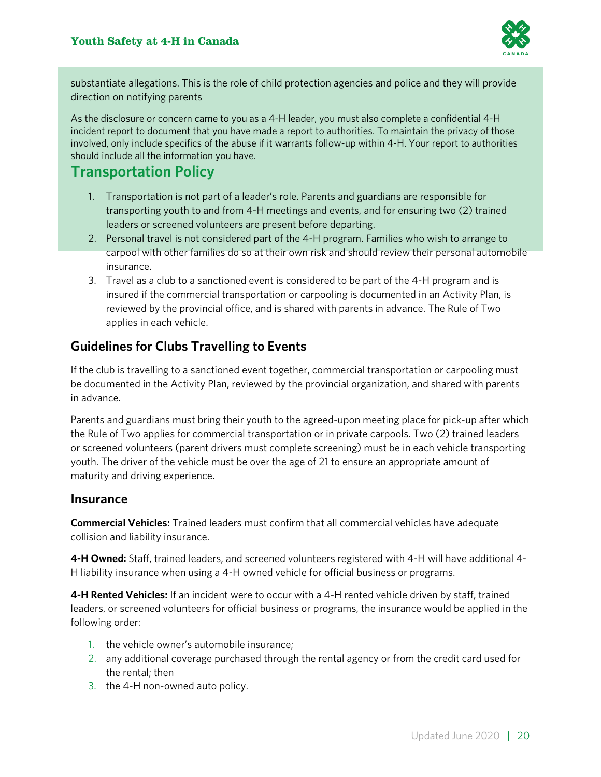

substantiate allegations. This is the role of child protection agencies and police and they will provide direction on notifying parents

As the disclosure or concern came to you as a 4-H leader, you must also complete a confidential 4-H incident report to document that you have made a report to authorities. To maintain the privacy of those involved, only include specifics of the abuse if it warrants follow-up within 4-H. Your report to authorities should include all the information you have.

## <span id="page-19-0"></span>**Transportation Policy**

- 1. Transportation is not part of a leader's role. Parents and guardians are responsible for transporting youth to and from 4-H meetings and events, and for ensuring two (2) trained leaders or screened volunteers are present before departing.
- 2. Personal travel is not considered part of the 4-H program. Families who wish to arrange to carpool with other families do so at their own risk and should review their personal automobile insurance.
- 3. Travel as a club to a sanctioned event is considered to be part of the 4-H program and is insured if the commercial transportation or carpooling is documented in an Activity Plan, is reviewed by the provincial office, and is shared with parents in advance. The Rule of Two applies in each vehicle.

### <span id="page-19-1"></span>**Guidelines for Clubs Travelling to Events**

If the club is travelling to a sanctioned event together, commercial transportation or carpooling must be documented in the Activity Plan, reviewed by the provincial organization, and shared with parents in advance.

Parents and guardians must bring their youth to the agreed-upon meeting place for pick-up after which the Rule of Two applies for commercial transportation or in private carpools. Two (2) trained leaders or screened volunteers (parent drivers must complete screening) must be in each vehicle transporting youth. The driver of the vehicle must be over the age of 21 to ensure an appropriate amount of maturity and driving experience.

### <span id="page-19-2"></span>**Insurance**

**Commercial Vehicles:** Trained leaders must confirm that all commercial vehicles have adequate collision and liability insurance.

**4-H Owned:** Staff, trained leaders, and screened volunteers registered with 4-H will have additional 4- H liability insurance when using a 4-H owned vehicle for official business or programs.

**4-H Rented Vehicles:** If an incident were to occur with a 4-H rented vehicle driven by staff, trained leaders, or screened volunteers for official business or programs, the insurance would be applied in the following order:

- 1. the vehicle owner's automobile insurance;
- 2. any additional coverage purchased through the rental agency or from the credit card used for the rental; then
- 3. the 4-H non-owned auto policy.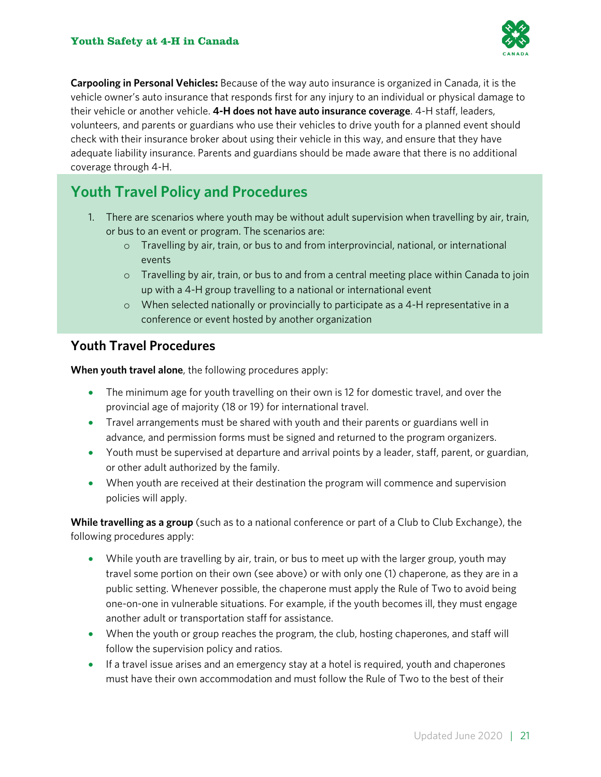

**Carpooling in Personal Vehicles:** Because of the way auto insurance is organized in Canada, it is the vehicle owner's auto insurance that responds first for any injury to an individual or physical damage to their vehicle or another vehicle. **4-H does not have auto insurance coverage**. 4-H staff, leaders, volunteers, and parents or guardians who use their vehicles to drive youth for a planned event should check with their insurance broker about using their vehicle in this way, and ensure that they have adequate liability insurance. Parents and guardians should be made aware that there is no additional coverage through 4-H.

## <span id="page-20-0"></span>**Youth Travel Policy and Procedures**

- 1. There are scenarios where youth may be without adult supervision when travelling by air, train, or bus to an event or program. The scenarios are:
	- o Travelling by air, train, or bus to and from interprovincial, national, or international events
	- o Travelling by air, train, or bus to and from a central meeting place within Canada to join up with a 4-H group travelling to a national or international event
	- $\circ$  When selected nationally or provincially to participate as a 4-H representative in a conference or event hosted by another organization

### <span id="page-20-1"></span>**Youth Travel Procedures**

**When youth travel alone**, the following procedures apply:

- The minimum age for youth travelling on their own is 12 for domestic travel, and over the provincial age of majority (18 or 19) for international travel.
- Travel arrangements must be shared with youth and their parents or guardians well in advance, and permission forms must be signed and returned to the program organizers.
- Youth must be supervised at departure and arrival points by a leader, staff, parent, or guardian, or other adult authorized by the family.
- When youth are received at their destination the program will commence and supervision policies will apply.

**While travelling as a group** (such as to a national conference or part of a Club to Club Exchange), the following procedures apply:

- While youth are travelling by air, train, or bus to meet up with the larger group, youth may travel some portion on their own (see above) or with only one (1) chaperone, as they are in a public setting. Whenever possible, the chaperone must apply the Rule of Two to avoid being one-on-one in vulnerable situations. For example, if the youth becomes ill, they must engage another adult or transportation staff for assistance.
- When the youth or group reaches the program, the club, hosting chaperones, and staff will follow the supervision policy and ratios.
- If a travel issue arises and an emergency stay at a hotel is required, youth and chaperones must have their own accommodation and must follow the Rule of Two to the best of their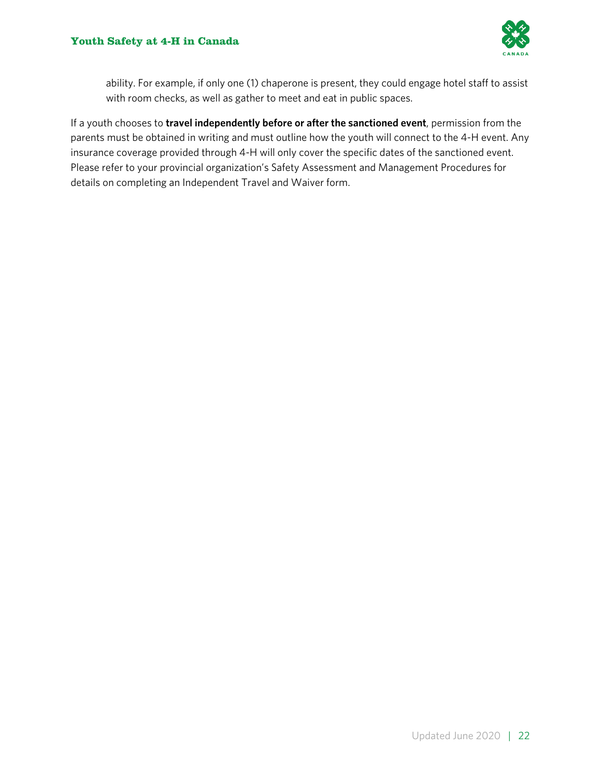

ability. For example, if only one (1) chaperone is present, they could engage hotel staff to assist with room checks, as well as gather to meet and eat in public spaces.

If a youth chooses to **travel independently before or after the sanctioned event**, permission from the parents must be obtained in writing and must outline how the youth will connect to the 4-H event. Any insurance coverage provided through 4-H will only cover the specific dates of the sanctioned event. Please refer to your provincial organization's [Safety Assessment and Management Procedures](#page-25-0) for details on completing an Independent Travel and Waiver form.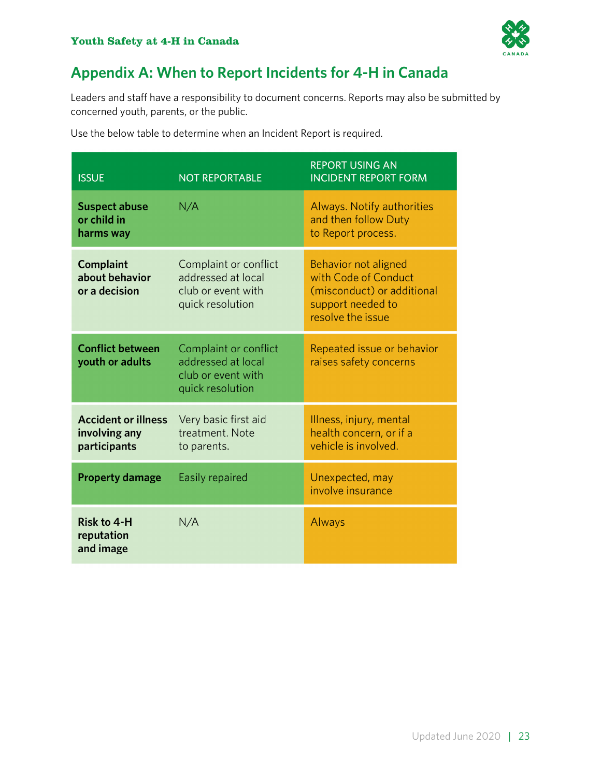

## <span id="page-22-0"></span>**Appendix A: When to Report Incidents for 4-H in Canada**

Leaders and staff have a responsibility to document concerns. Reports may also be submitted by concerned youth, parents, or the public.

Use the below table to determine when an Incident Report is required.

| <b>ISSUE</b>                                                | <b>NOT REPORTABLE</b>                                                                 | <b>REPORT USING AN</b><br><b>INCIDENT REPORT FORM</b>                                                                |
|-------------------------------------------------------------|---------------------------------------------------------------------------------------|----------------------------------------------------------------------------------------------------------------------|
| <b>Suspect abuse</b><br>or child in<br>harms way            | N/A                                                                                   | Always. Notify authorities<br>and then follow Duty<br>to Report process.                                             |
| <b>Complaint</b><br>about behavior<br>or a decision         | Complaint or conflict<br>addressed at local<br>club or event with<br>quick resolution | Behavior not aligned<br>with Code of Conduct<br>(misconduct) or additional<br>support needed to<br>resolve the issue |
| <b>Conflict between</b><br>youth or adults                  | Complaint or conflict<br>addressed at local<br>club or event with<br>quick resolution | Repeated issue or behavior<br>raises safety concerns                                                                 |
| <b>Accident or illness</b><br>involving any<br>participants | Very basic first aid<br>treatment. Note<br>to parents.                                | Illness, injury, mental<br>health concern, or if a<br>vehicle is involved.                                           |
| <b>Property damage</b>                                      | Easily repaired                                                                       | Unexpected, may<br>involve insurance                                                                                 |
| <b>Risk to 4-H</b><br>reputation<br>and image               | N/A                                                                                   | Always                                                                                                               |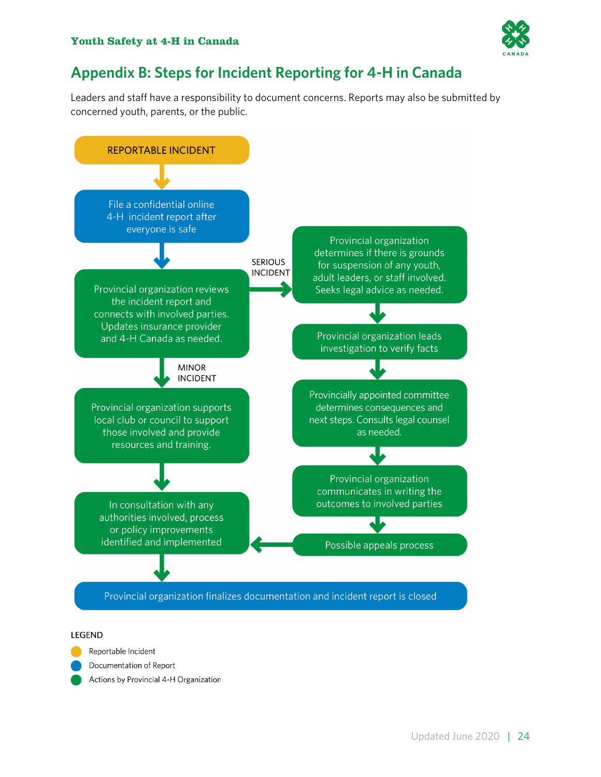

## <span id="page-23-0"></span>**Appendix B: Steps for Incident Reporting for 4-H in Canada**

Leaders and staff have a responsibility to document concerns. Reports may also be submitted by concerned youth, parents, or the public.



#### **LEGEND**

- Reportable Incident
- Documentation of Report
- Actions by Provincial 4-H Organization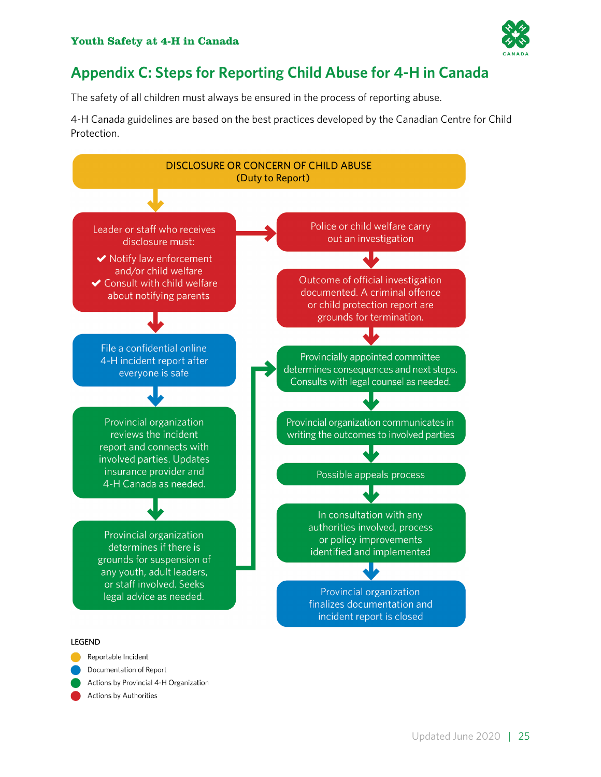

## <span id="page-24-0"></span>**Appendix C: Steps for Reporting Child Abuse for 4-H in Canada**

The safety of all children must always be ensured in the process of reporting abuse.

4-H Canada guidelines are based on the best practices developed by the Canadian Centre for Child Protection.



- Documentation of Report
- Actions by Provincial 4-H Organization
- Actions by Authorities